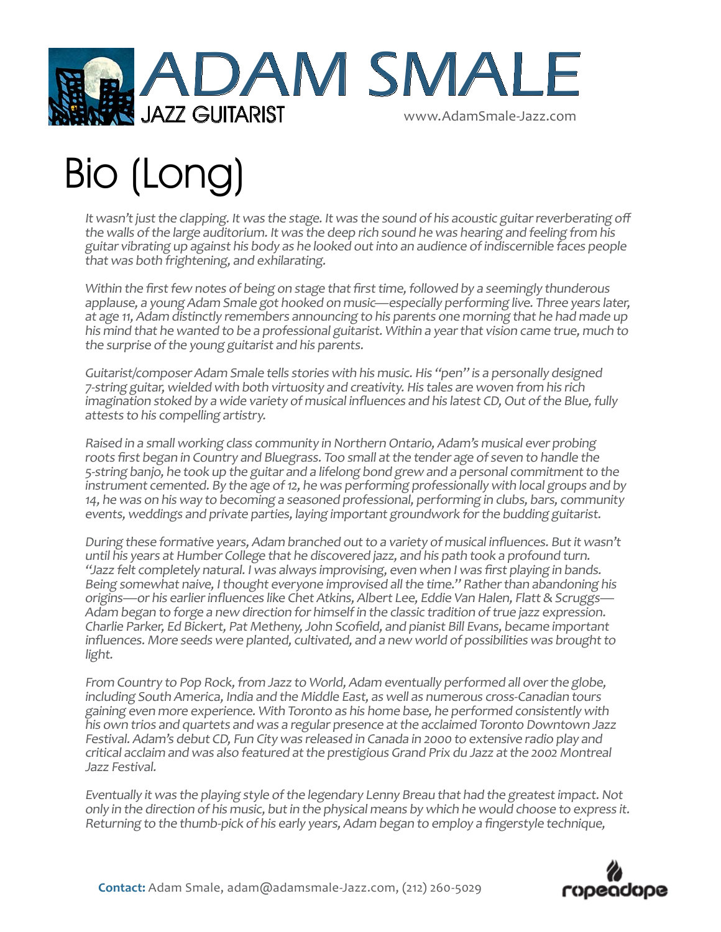

## Bio (Long)

It wasn't just the clapping. It was the stage. It was the sound of his acoustic guitar reverberating off the walls of the large auditorium. It was the deep rich sound he was hearing and feeling from his guitar vibrating up against his body as he looked out into an audience of indiscernible faces people that was both frightening, and exhilarating.

Within the first few notes of being on stage that first time, followed by a seemingly thunderous applause, a young Adam Smale got hooked on music—especially performing live. Three years later, at age 11, Adam distinctly remembers announcing to his parents one morning that he had made up his mind that he wanted to be a professional guitarist. Within a year that vision came true, much to the surprise of the young guitarist and his parents.

Guitarist/composer Adam Smale tells stories with his music. His "pen" is a personally designed 7-string guitar, wielded with both virtuosity and creativity. His tales are woven from his rich imagination stoked by a wide variety of musical influences and his latest CD, Out of the Blue, fully attests to his compelling artistry.

Raised in a small working class community in Northern Ontario, Adam's musical ever probing roots first began in Country and Bluegrass. Too small at the tender age of seven to handle the 5-string banjo, he took up the guitar and a lifelong bond grew and a personal commitment to the instrument cemented. By the age of 12, he was performing professionally with local groups and by 14, he was on his way to becoming a seasoned professional, performing in clubs, bars, community events, weddings and private parties, laying important groundwork for the budding guitarist.

During these formative years, Adam branched out to a variety of musical influences. But it wasn't until his years at Humber College that he discovered jazz, and his path took a profound turn. "Jazz felt completely natural. I was always improvising, even when I was first playing in bands. Being somewhat naive, I thought everyone improvised all the time." Rather than abandoning his origins—or his earlier influences like Chet Atkins, Albert Lee, Eddie Van Halen, Flatt & Scruggs— Adam began to forge a new direction for himself in the classic tradition of true jazz expression. Charlie Parker, Ed Bickert, Pat Metheny, John Scofield, and pianist Bill Evans, became important influences. More seeds were planted, cultivated, and a new world of possibilities was brought to light.

From Country to Pop Rock, from Jazz to World, Adam eventually performed all over the globe, including South America, India and the Middle East, as well as numerous cross-Canadian tours gaining even more experience. With Toronto as his home base, he performed consistently with his own trios and quartets and was a regular presence at the acclaimed Toronto Downtown Jazz Festival. Adam's debut CD, Fun City was released in Canada in 2000 to extensive radio play and critical acclaim and was also featured at the prestigious Grand Prix du Jazz at the 2002 Montreal Jazz Festival.

Eventually it was the playing style of the legendary Lenny Breau that had the greatest impact. Not only in the direction of his music, but in the physical means by which he would choose to express it. Returning to the thumb-pick of his early years, Adam began to employ a fingerstyle technique,